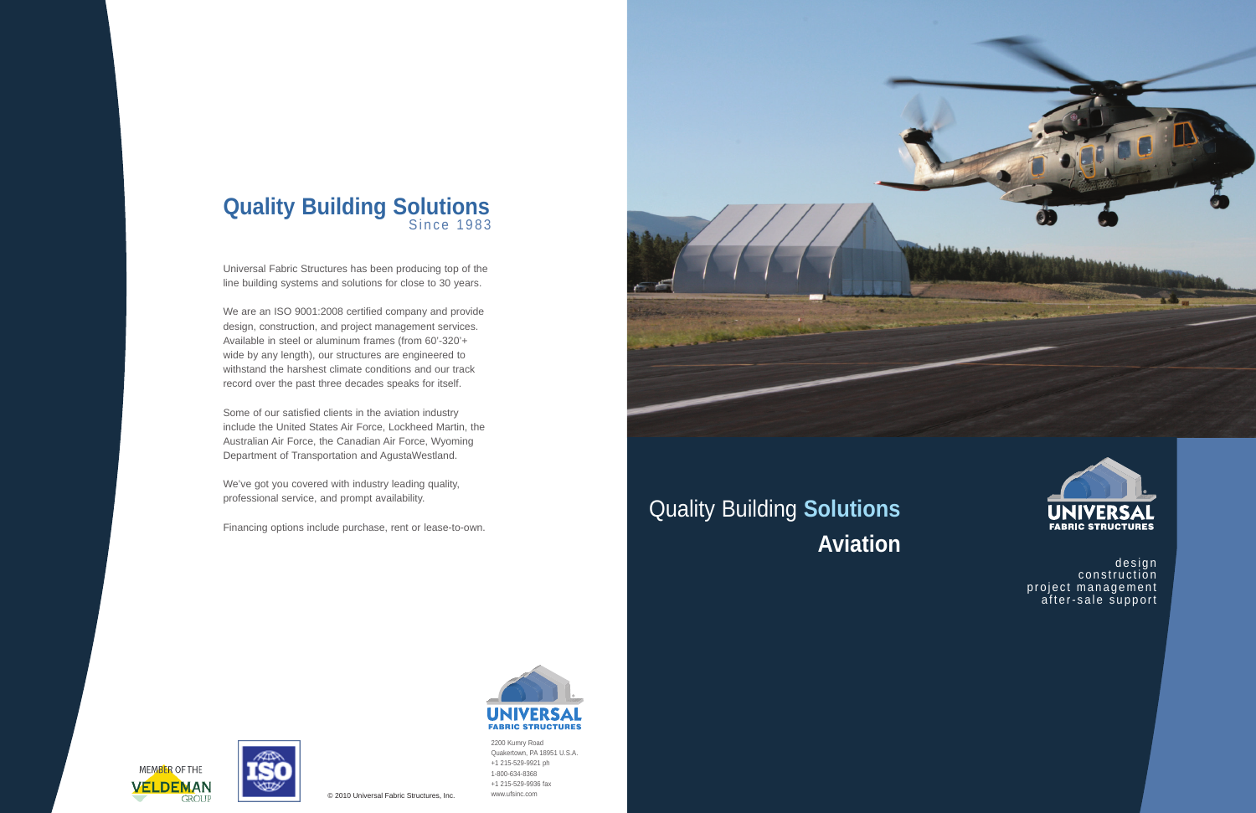

Universal Fabric Structures has been producing top of the line building systems and solutions for close to 30 years.

We are an ISO 9001:2008 certified company and provide design, construction, and project management services. Available in steel or aluminum frames (from 60'-320'+ wide by any length), our structures are engineered to withstand the harshest climate conditions and our track record over the past three decades speaks for itself.

Some of our satisfied clients in the aviation industry include the United States Air Force, Lockheed Martin, the Australian Air Force, the Canadian Air Force, Wyoming Department of Transportation and AgustaWestland.

We've got you covered with industry leading quality, professional service, and prompt availability.

Financing options include purchase, rent or lease-to-own.



2200 Kumry Road Quakertown, PA 18951 U.S.A. +1 215-529-9921 ph 1-800-634-8368 +1 215-529-9936 fax www.ufsinc.com





# Quality Building **Solutions Aviation**



design construction project management after-sale support

© 2010 Universal Fabric Structures, Inc.